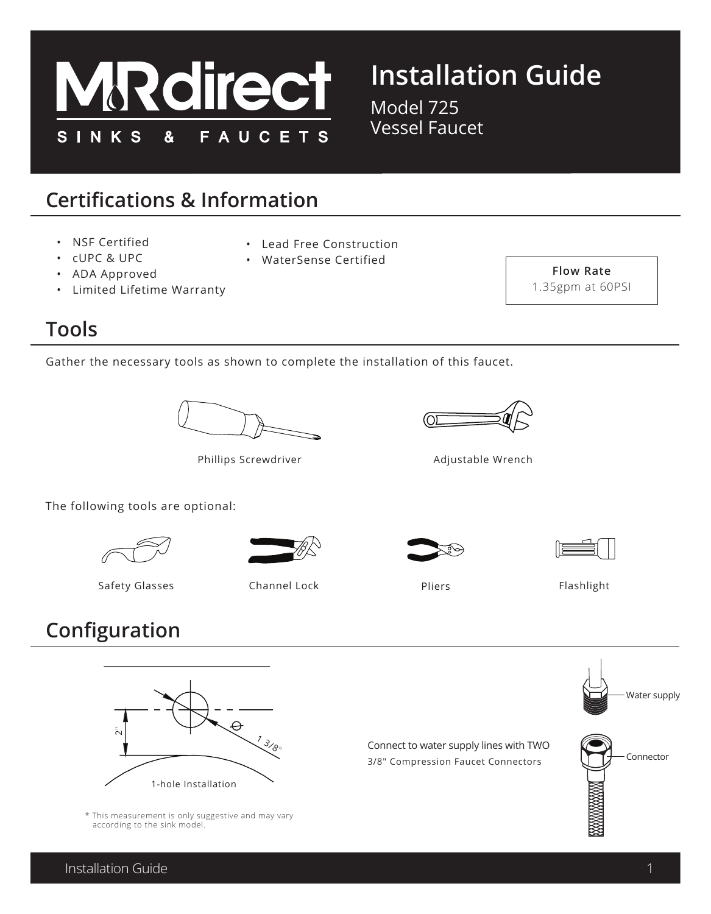

# **Installation Guide**

Model 725 Vessel Faucet

## **Certifications & Information**

- NSF Certified
- cUPC & UPC
- ADA Approved
- Limited Lifetime Warranty

#### **Tools**

Gather the necessary tools as shown to complete the installation of this faucet.

• Lead Free Construction • WaterSense Certified



Phillips Screwdriver

The following tools are optional:





Safety Glasses Channel Lock Pliers Pliers Pliers Flashlight



Adjustable Wrench





**Flow Rate**  1.35gpm at 60PSI

## **Configuration**



\* This measurement is only suggestive and may vary

Connect to water supply lines with TWO 3/8" Compression Faucet Connectors







according to the sink model.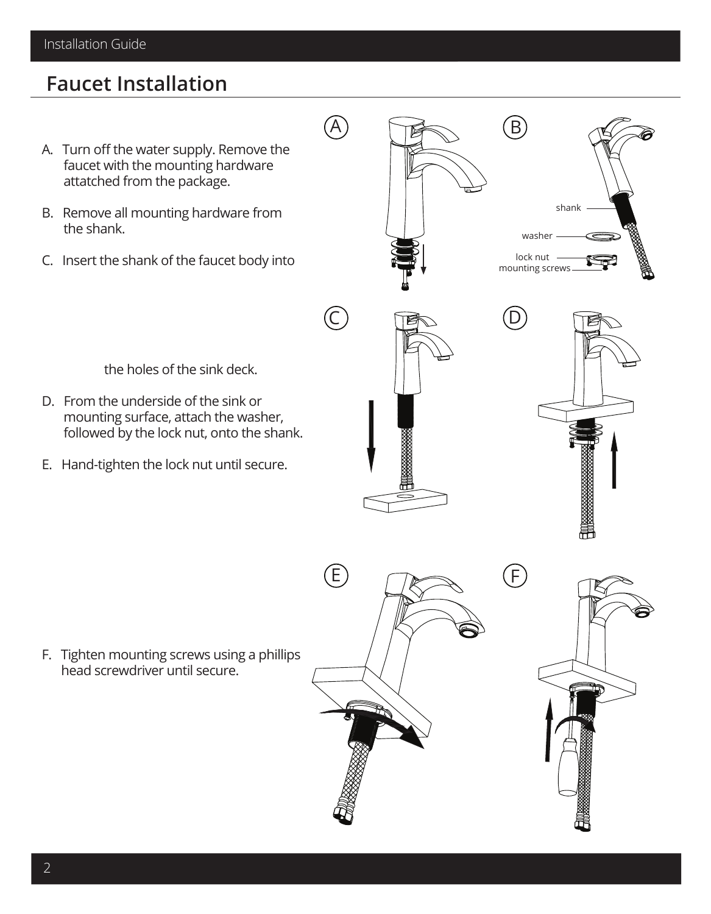Installation Guide

#### **Faucet Installation**

- A. Turn off the water supply. Remove the faucet with the mounting hardware attatched from the package.
- B. Remove all mounting hardware from the shank.
- C. Insert the shank of the faucet body into

the holes of the sink deck.

- D. From the underside of the sink or mounting surface, attach the washer, followed by the lock nut, onto the shank.
- E. Hand-tighten the lock nut until secure.

F. Tighten mounting screws using a phillips head screwdriver until secure.



E

 $(\widehat{\mathsf{C}}% ,\widehat{\mathsf{C}}_{\alpha,\beta})$ 

A









D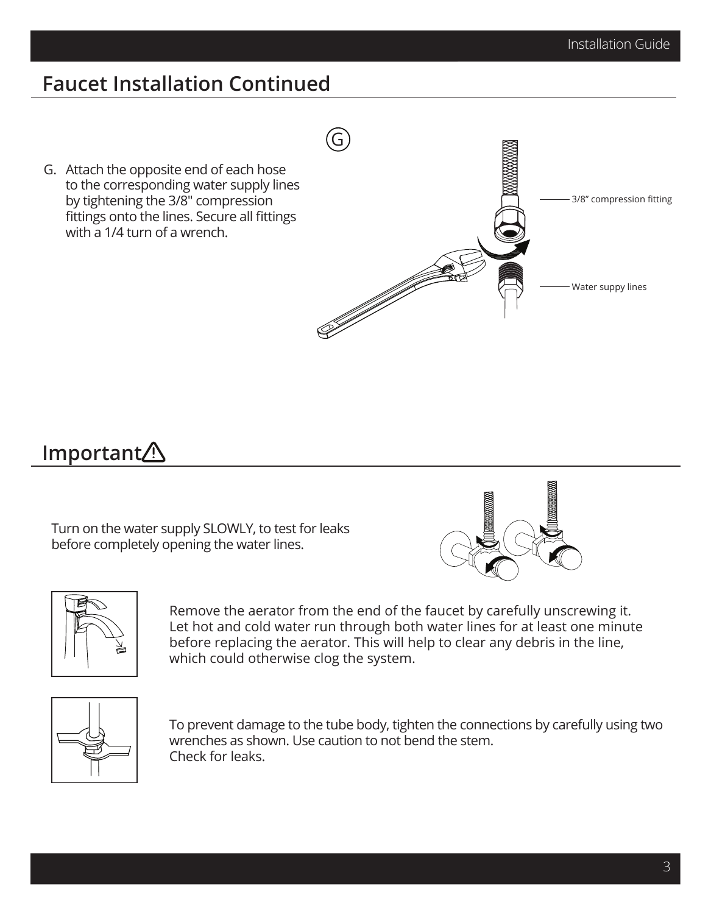3/8" compression fitting

Water suppy lines

### **Faucet Installation Continued**

G

<u>J</u>

G. Attach the opposite end of each hose to the corresponding water supply lines by tightening the 3/8" compression fittings onto the lines. Secure all fittings with a 1/4 turn of a wrench.

### **Important**

Turn on the water supply SLOWLY, to test for leaks before completely opening the water lines.





Remove the aerator from the end of the faucet by carefully unscrewing it. Let hot and cold water run through both water lines for at least one minute before replacing the aerator. This will help to clear any debris in the line, which could otherwise clog the system.



To prevent damage to the tube body, tighten the connections by carefully using two wrenches as shown. Use caution to not bend the stem. Check for leaks.